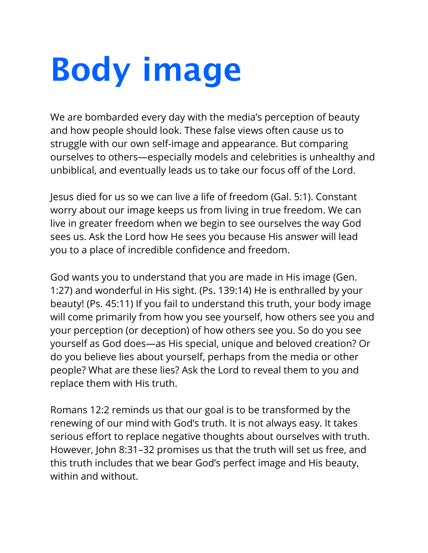## **Body image**

We are bombarded every day with the media's perception of beauty and how people should look. These false views often cause us to struggle with our own self-image and appearance. But comparing ourselves to others—especially models and celebrities is unhealthy and unbiblical, and eventually leads us to take our focus off of the Lord.

Jesus died for us so we can live a life of freedom (Gal. 5:1). Constant worry about our image keeps us from living in true freedom. We can live in greater freedom when we begin to see ourselves the way God sees us. Ask the Lord how He sees you because His answer will lead you to a place of incredible confidence and freedom.

God wants you to understand that you are made in His image (Gen. 1:27) and wonderful in His sight. (Ps. 139:14) He is enthralled by your beauty! (Ps. 45:11) If you fail to understand this truth, your body image will come primarily from how you see yourself, how others see you and your perception (or deception) of how others see you. So do you see yourself as God does—as His special, unique and beloved creation? Or do you believe lies about yourself, perhaps from the media or other people? What are these lies? Ask the Lord to reveal them to you and replace them with His truth.

Romans 12:2 reminds us that our goal is to be transformed by the renewing of our mind with God's truth. It is not always easy. It takes serious effort to replace negative thoughts about ourselves with truth. However, John 8:31–32 promises us that the truth will set us free, and this truth includes that we bear God's perfect image and His beauty, within and without.